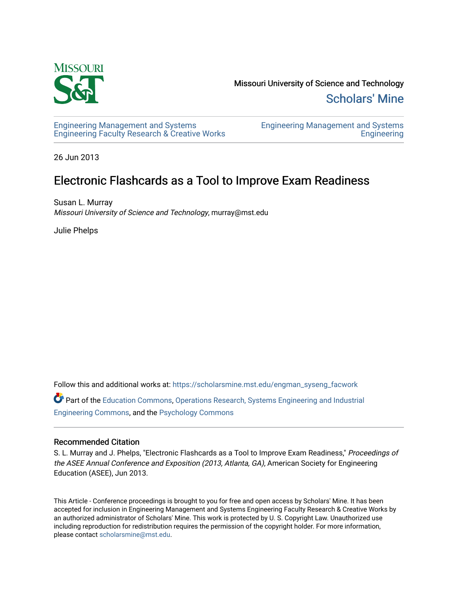

Missouri University of Science and Technology [Scholars' Mine](https://scholarsmine.mst.edu/) 

[Engineering Management and Systems](https://scholarsmine.mst.edu/engman_syseng_facwork)  [Engineering Faculty Research & Creative Works](https://scholarsmine.mst.edu/engman_syseng_facwork) [Engineering Management and Systems](https://scholarsmine.mst.edu/engman_syseng)  **Engineering** 

26 Jun 2013

# Electronic Flashcards as a Tool to Improve Exam Readiness

Susan L. Murray Missouri University of Science and Technology, murray@mst.edu

Julie Phelps

Follow this and additional works at: [https://scholarsmine.mst.edu/engman\\_syseng\\_facwork](https://scholarsmine.mst.edu/engman_syseng_facwork?utm_source=scholarsmine.mst.edu%2Fengman_syseng_facwork%2F296&utm_medium=PDF&utm_campaign=PDFCoverPages)  Part of the [Education Commons](http://network.bepress.com/hgg/discipline/784?utm_source=scholarsmine.mst.edu%2Fengman_syseng_facwork%2F296&utm_medium=PDF&utm_campaign=PDFCoverPages), [Operations Research, Systems Engineering and Industrial](http://network.bepress.com/hgg/discipline/305?utm_source=scholarsmine.mst.edu%2Fengman_syseng_facwork%2F296&utm_medium=PDF&utm_campaign=PDFCoverPages) [Engineering Commons,](http://network.bepress.com/hgg/discipline/305?utm_source=scholarsmine.mst.edu%2Fengman_syseng_facwork%2F296&utm_medium=PDF&utm_campaign=PDFCoverPages) and the [Psychology Commons](http://network.bepress.com/hgg/discipline/404?utm_source=scholarsmine.mst.edu%2Fengman_syseng_facwork%2F296&utm_medium=PDF&utm_campaign=PDFCoverPages) 

#### Recommended Citation

S. L. Murray and J. Phelps, "Electronic Flashcards as a Tool to Improve Exam Readiness," Proceedings of the ASEE Annual Conference and Exposition (2013, Atlanta, GA), American Society for Engineering Education (ASEE), Jun 2013.

This Article - Conference proceedings is brought to you for free and open access by Scholars' Mine. It has been accepted for inclusion in Engineering Management and Systems Engineering Faculty Research & Creative Works by an authorized administrator of Scholars' Mine. This work is protected by U. S. Copyright Law. Unauthorized use including reproduction for redistribution requires the permission of the copyright holder. For more information, please contact [scholarsmine@mst.edu.](mailto:scholarsmine@mst.edu)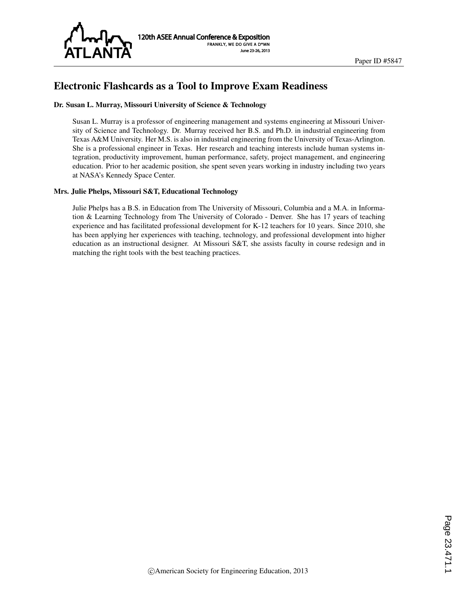

# Electronic Flashcards as a Tool to Improve Exam Readiness

#### Dr. Susan L. Murray, Missouri University of Science & Technology

Susan L. Murray is a professor of engineering management and systems engineering at Missouri University of Science and Technology. Dr. Murray received her B.S. and Ph.D. in industrial engineering from Texas A&M University. Her M.S. is also in industrial engineering from the University of Texas-Arlington. She is a professional engineer in Texas. Her research and teaching interests include human systems integration, productivity improvement, human performance, safety, project management, and engineering education. Prior to her academic position, she spent seven years working in industry including two years at NASA's Kennedy Space Center.

#### Mrs. Julie Phelps, Missouri S&T, Educational Technology

Julie Phelps has a B.S. in Education from The University of Missouri, Columbia and a M.A. in Information & Learning Technology from The University of Colorado - Denver. She has 17 years of teaching experience and has facilitated professional development for K-12 teachers for 10 years. Since 2010, she has been applying her experiences with teaching, technology, and professional development into higher education as an instructional designer. At Missouri S&T, she assists faculty in course redesign and in matching the right tools with the best teaching practices.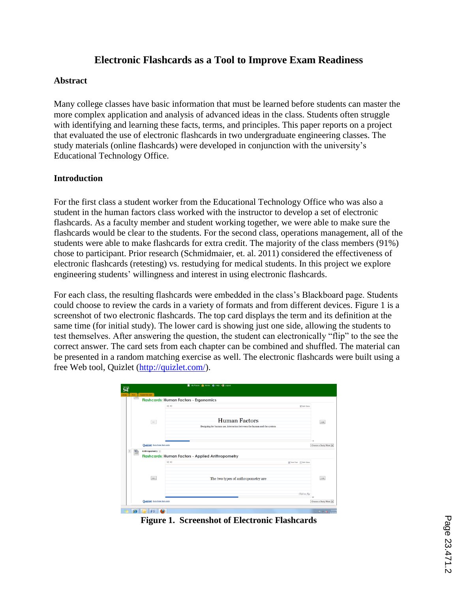# **Electronic Flashcards as a Tool to Improve Exam Readiness**

#### **Abstract**

Many college classes have basic information that must be learned before students can master the more complex application and analysis of advanced ideas in the class. Students often struggle with identifying and learning these facts, terms, and principles. This paper reports on a project that evaluated the use of electronic flashcards in two undergraduate engineering classes. The study materials (online flashcards) were developed in conjunction with the university's Educational Technology Office.

#### **Introduction**

For the first class a student worker from the Educational Technology Office who was also a student in the human factors class worked with the instructor to develop a set of electronic flashcards. As a faculty member and student working together, we were able to make sure the flashcards would be clear to the students. For the second class, operations management, all of the students were able to make flashcards for extra credit. The majority of the class members (91%) chose to participant. Prior research (Schmidmaier, et. al. 2011) considered the effectiveness of electronic flashcards (retesting) vs. restudying for medical students. In this project we explore engineering students' willingness and interest in using electronic flashcards.

For each class, the resulting flashcards were embedded in the class's Blackboard page. Students could choose to review the cards in a variety of formats and from different devices. Figure 1 is a screenshot of two electronic flashcards. The top card displays the term and its definition at the same time (for initial study). The lower card is showing just one side, allowing the students to test themselves. After answering the question, the student can electronically "flip" to the see the correct answer. The card sets from each chapter can be combined and shuffled. The material can be presented in a random matching exercise as well. The electronic flashcards were built using a free Web tool, Quizlet (http://quizlet.com/).

|   | Flashcards: Human Factors - Ergonomics |                                                                       |                                |  |  |
|---|----------------------------------------|-----------------------------------------------------------------------|--------------------------------|--|--|
|   |                                        | $> 2$ (i)<br>[2] Both Sides                                           |                                |  |  |
|   | $\leftarrow$                           | <b>Human Factors</b>                                                  | $\rightarrow$                  |  |  |
|   |                                        | Designing for human use, interaction between the human and the system |                                |  |  |
|   | Quizlet State these flash cards        |                                                                       | 1.6<br>Choose a Study Mode [*] |  |  |
|   | <b>Anthropometry</b>                   |                                                                       |                                |  |  |
| n |                                        | <b>Flashcards: Human Factors - Applied Anthropometry</b>              |                                |  |  |
|   |                                        | 20.41<br>V Term First   Both Sides                                    |                                |  |  |
|   |                                        |                                                                       |                                |  |  |
|   | $\sim$                                 | The two types of anthropometry are                                    | $\rightarrow$                  |  |  |

**Figure 1. Screenshot of Electronic Flashcards**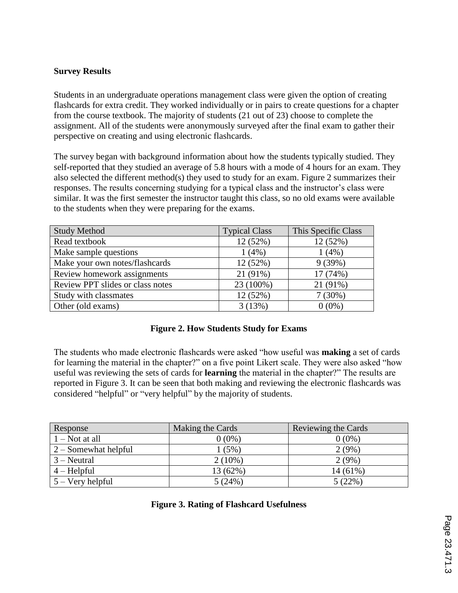#### **Survey Results**

Students in an undergraduate operations management class were given the option of creating flashcards for extra credit. They worked individually or in pairs to create questions for a chapter from the course textbook. The majority of students (21 out of 23) choose to complete the assignment. All of the students were anonymously surveyed after the final exam to gather their perspective on creating and using electronic flashcards.

The survey began with background information about how the students typically studied. They self-reported that they studied an average of 5.8 hours with a mode of 4 hours for an exam. They also selected the different method(s) they used to study for an exam. Figure 2 summarizes their responses. The results concerning studying for a typical class and the instructor's class were similar. It was the first semester the instructor taught this class, so no old exams were available to the students when they were preparing for the exams.

| <b>Study Method</b>              | <b>Typical Class</b> | This Specific Class |
|----------------------------------|----------------------|---------------------|
| Read textbook                    | 12 (52%)             | 12 (52%)            |
| Make sample questions            | 1(4%)                | 1(4%)               |
| Make your own notes/flashcards   | 12 (52%)             | 9(39%)              |
| Review homework assignments      | 21 (91%)             | 17 (74%)            |
| Review PPT slides or class notes | 23 (100%)            | 21 (91%)            |
| Study with classmates            | 12 (52%)             | 7(30%)              |
| Other (old exams)                | 3(13%)               | $0(0\%)$            |

## **Figure 2. How Students Study for Exams**

The students who made electronic flashcards were asked "how useful was **making** a set of cards for learning the material in the chapter?" on a five point Likert scale. They were also asked "how useful was reviewing the sets of cards for **learning** the material in the chapter?" The results are reported in Figure 3. It can be seen that both making and reviewing the electronic flashcards was considered "helpful" or "very helpful" by the majority of students.

| Response               | Making the Cards | Reviewing the Cards |
|------------------------|------------------|---------------------|
| $1 - Not$ at all       | $0(0\%)$         | $0(0\%)$            |
| $2 -$ Somewhat helpful | 1(5%)            | 2(9%)               |
| $3 -$ Neutral          | $2(10\%)$        | 2(9%)               |
| $4 - Helpful$          | 13 (62%)         | $14(61\%)$          |
| $5 -$ Very helpful     | 5(24%)           | 5(22%)              |

## **Figure 3. Rating of Flashcard Usefulness**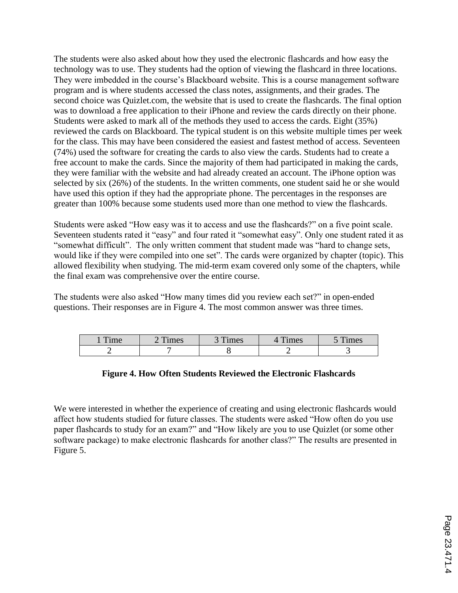The students were also asked about how they used the electronic flashcards and how easy the technology was to use. They students had the option of viewing the flashcard in three locations. They were imbedded in the course's Blackboard website. This is a course management software program and is where students accessed the class notes, assignments, and their grades. The second choice was Quizlet.com, the website that is used to create the flashcards. The final option was to download a free application to their iPhone and review the cards directly on their phone. Students were asked to mark all of the methods they used to access the cards. Eight (35%) reviewed the cards on Blackboard. The typical student is on this website multiple times per week for the class. This may have been considered the easiest and fastest method of access. Seventeen (74%) used the software for creating the cards to also view the cards. Students had to create a free account to make the cards. Since the majority of them had participated in making the cards, they were familiar with the website and had already created an account. The iPhone option was selected by six (26%) of the students. In the written comments, one student said he or she would have used this option if they had the appropriate phone. The percentages in the responses are greater than 100% because some students used more than one method to view the flashcards.

Students were asked "How easy was it to access and use the flashcards?" on a five point scale. Seventeen students rated it "easy" and four rated it "somewhat easy". Only one student rated it as "somewhat difficult". The only written comment that student made was "hard to change sets, would like if they were compiled into one set". The cards were organized by chapter (topic). This allowed flexibility when studying. The mid-term exam covered only some of the chapters, while the final exam was comprehensive over the entire course.

The students were also asked "How many times did you review each set?" in open-ended questions. Their responses are in Figure 4. The most common answer was three times.

| $\mathbf{m}$<br>$\mathbf{m}$ $\alpha$ | $\mathbf{m}$<br>$ma$ $c$<br>LLUS | $\mathbf{r}$<br>imes | $\mathbf{r}$<br>mes | $\mathbf{m}$<br>ımes |
|---------------------------------------|----------------------------------|----------------------|---------------------|----------------------|
|                                       |                                  |                      |                     |                      |

## **Figure 4. How Often Students Reviewed the Electronic Flashcards**

We were interested in whether the experience of creating and using electronic flashcards would affect how students studied for future classes. The students were asked "How often do you use paper flashcards to study for an exam?" and "How likely are you to use Quizlet (or some other software package) to make electronic flashcards for another class?" The results are presented in Figure 5.